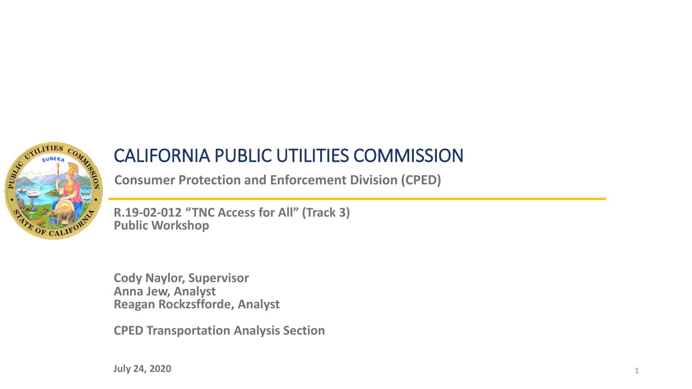

### CALIFORNIA PUBLIC UTILITIES COMMISSION

**Consumer Protection and Enforcement Division (CPED)**

**R.19-02-012 "TNC Access for All" (Track 3) Public Workshop** 

**Cody Naylor, Supervisor Anna Jew, Analyst Reagan Rockzsfforde, Analyst**

**CPED Transportation Analysis Section**

**July 24, 2020** 1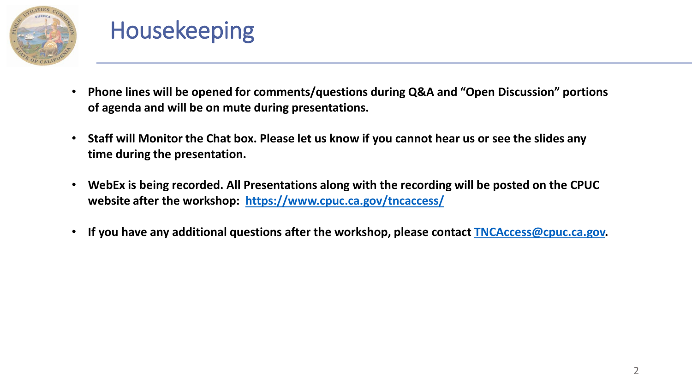

## Housekeeping

- **Phone lines will be opened for comments/questions during Q&A and "Open Discussion" portions of agenda and will be on mute during presentations.**
- **Staff will Monitor the Chat box. Please let us know if you cannot hear us or see the slides any time during the presentation.**
- **WebEx is being recorded. All Presentations along with the recording will be posted on the CPUC website after the workshop: <https://www.cpuc.ca.gov/tncaccess/>**
- **If you have any additional questions after the workshop, please contact [TNCAccess@cpuc.ca.gov.](mailto:TNCAccess@cpuc.ca.gov)**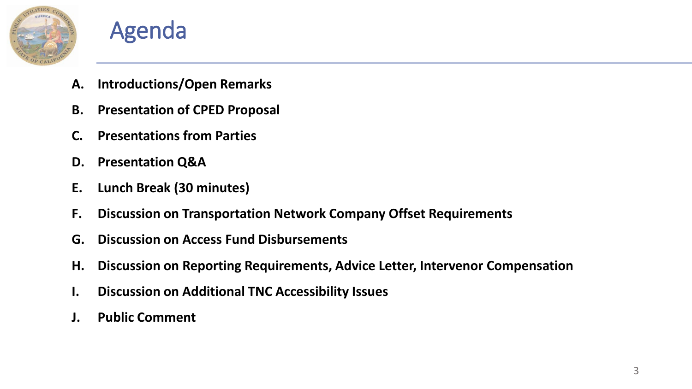

### Agenda

- **A. Introductions/Open Remarks**
- **B. Presentation of CPED Proposal**
- **C. Presentations from Parties**
- **D. Presentation Q&A**
- **E. Lunch Break (30 minutes)**
- **F. Discussion on Transportation Network Company Offset Requirements**
- **G. Discussion on Access Fund Disbursements**
- **H. Discussion on Reporting Requirements, Advice Letter, Intervenor Compensation**
- **I. Discussion on Additional TNC Accessibility Issues**
- **J. Public Comment**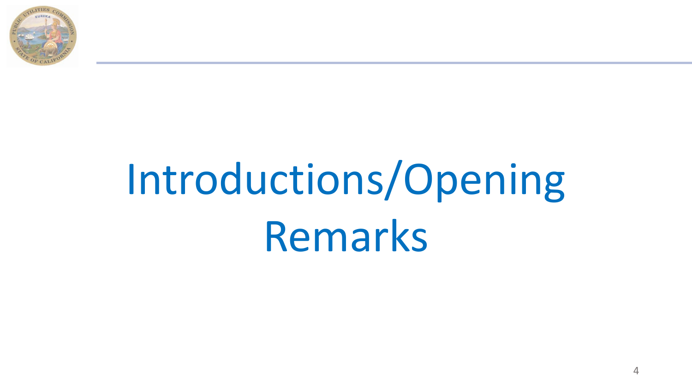

# Introductions/Opening Remarks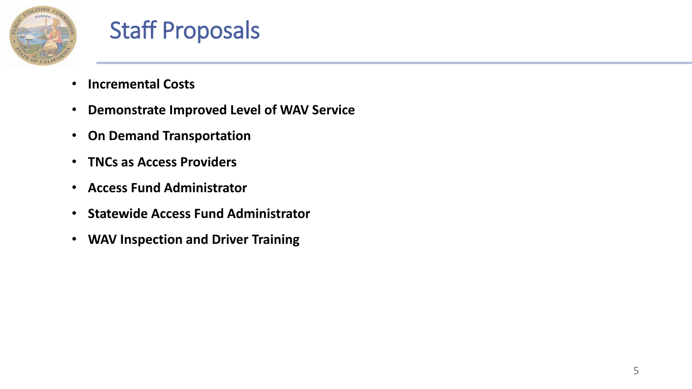

### Staff Proposals

- **Incremental Costs**
- **Demonstrate Improved Level of WAV Service**
- **On Demand Transportation**
- **TNCs as Access Providers**
- **Access Fund Administrator**
- **Statewide Access Fund Administrator**
- **WAV Inspection and Driver Training**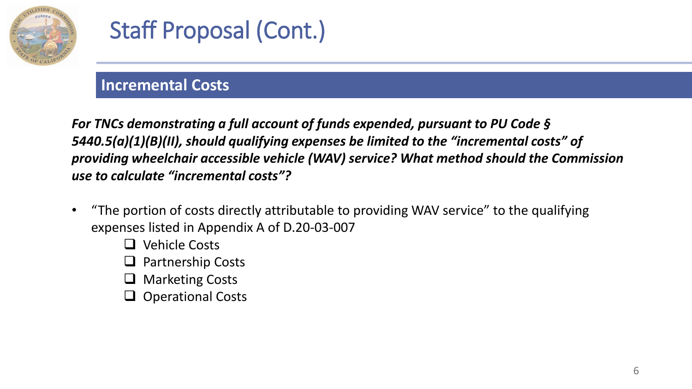

#### **Incremental Costs**

*For TNCs demonstrating a full account of funds expended, pursuant to PU Code § 5440.5(a)(1)(B)(II), should qualifying expenses be limited to the "incremental costs" of providing wheelchair accessible vehicle (WAV) service? What method should the Commission use to calculate "incremental costs"?*

- "The portion of costs directly attributable to providing WAV service" to the qualifying expenses listed in Appendix A of D.20-03-007
	- □ Vehicle Costs
	- **□** Partnership Costs
	- $\Box$  Marketing Costs
	- $\Box$  Operational Costs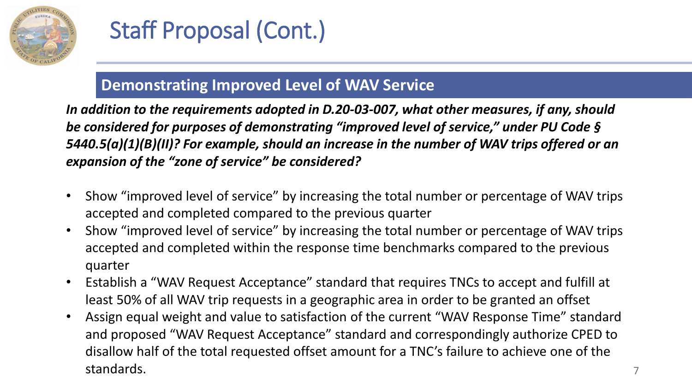

#### **Demonstrating Improved Level of WAV Service**

*In addition to the requirements adopted in D.20-03-007, what other measures, if any, should be considered for purposes of demonstrating "improved level of service," under PU Code § 5440.5(a)(1)(B)(II)? For example, should an increase in the number of WAV trips offered or an expansion of the "zone of service" be considered?*

- Show "improved level of service" by increasing the total number or percentage of WAV trips accepted and completed compared to the previous quarter
- Show "improved level of service" by increasing the total number or percentage of WAV trips accepted and completed within the response time benchmarks compared to the previous quarter
- Establish a "WAV Request Acceptance" standard that requires TNCs to accept and fulfill at least 50% of all WAV trip requests in a geographic area in order to be granted an offset
- Assign equal weight and value to satisfaction of the current "WAV Response Time" standard and proposed "WAV Request Acceptance" standard and correspondingly authorize CPED to disallow half of the total requested offset amount for a TNC's failure to achieve one of the standards.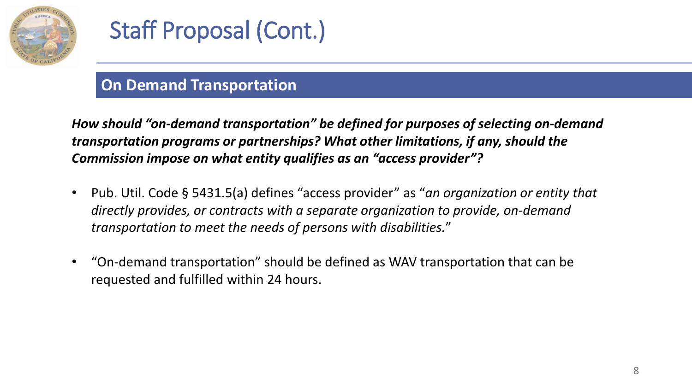

#### **On Demand Transportation**

*How should "on-demand transportation" be defined for purposes of selecting on-demand transportation programs or partnerships? What other limitations, if any, should the Commission impose on what entity qualifies as an "access provider"?*

- Pub. Util. Code § 5431.5(a) defines "access provider" as "*an organization or entity that directly provides, or contracts with a separate organization to provide, on-demand transportation to meet the needs of persons with disabilities.*"
- "On-demand transportation" should be defined as WAV transportation that can be requested and fulfilled within 24 hours.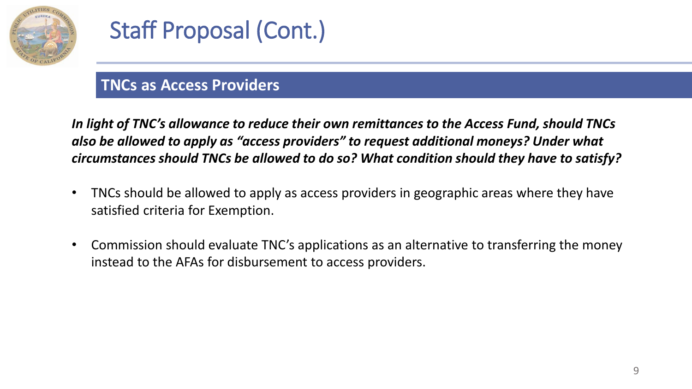

#### **TNCs as Access Providers**

*In light of TNC's allowance to reduce their own remittances to the Access Fund, should TNCs also be allowed to apply as "access providers" to request additional moneys? Under what circumstances should TNCs be allowed to do so? What condition should they have to satisfy?*

- TNCs should be allowed to apply as access providers in geographic areas where they have satisfied criteria for Exemption.
- Commission should evaluate TNC's applications as an alternative to transferring the money instead to the AFAs for disbursement to access providers.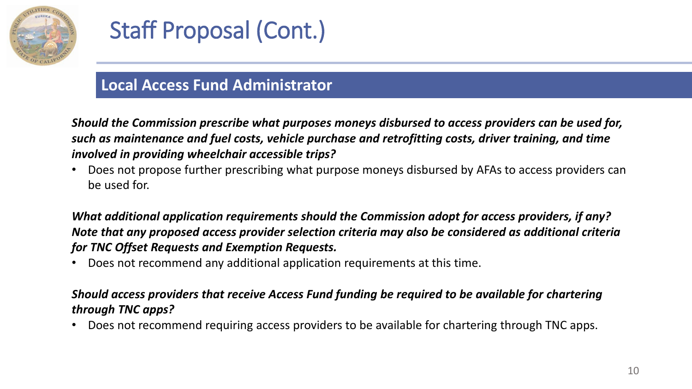

#### **Local Access Fund Administrator**

*Should the Commission prescribe what purposes moneys disbursed to access providers can be used for, such as maintenance and fuel costs, vehicle purchase and retrofitting costs, driver training, and time involved in providing wheelchair accessible trips?*

• Does not propose further prescribing what purpose moneys disbursed by AFAs to access providers can be used for.

*What additional application requirements should the Commission adopt for access providers, if any? Note that any proposed access provider selection criteria may also be considered as additional criteria for TNC Offset Requests and Exemption Requests.*

• Does not recommend any additional application requirements at this time.

#### *Should access providers that receive Access Fund funding be required to be available for chartering through TNC apps?*

• Does not recommend requiring access providers to be available for chartering through TNC apps.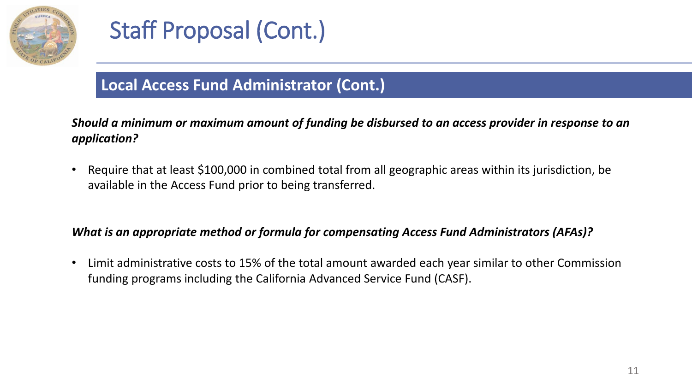

#### **Local Access Fund Administrator (Cont.)**

*Should a minimum or maximum amount of funding be disbursed to an access provider in response to an application?*

• Require that at least \$100,000 in combined total from all geographic areas within its jurisdiction, be available in the Access Fund prior to being transferred.

#### *What is an appropriate method or formula for compensating Access Fund Administrators (AFAs)?*

• Limit administrative costs to 15% of the total amount awarded each year similar to other Commission funding programs including the California Advanced Service Fund (CASF).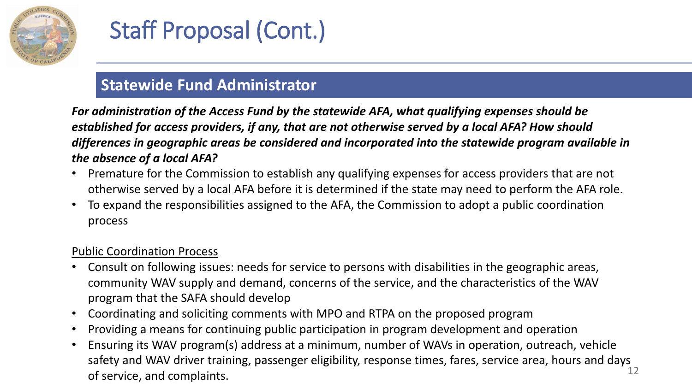

#### **Statewide Fund Administrator**

*For administration of the Access Fund by the statewide AFA, what qualifying expenses should be established for access providers, if any, that are not otherwise served by a local AFA? How should differences in geographic areas be considered and incorporated into the statewide program available in the absence of a local AFA?*

- Premature for the Commission to establish any qualifying expenses for access providers that are not otherwise served by a local AFA before it is determined if the state may need to perform the AFA role.
- To expand the responsibilities assigned to the AFA, the Commission to adopt a public coordination process

#### Public Coordination Process

- Consult on following issues: needs for service to persons with disabilities in the geographic areas, community WAV supply and demand, concerns of the service, and the characteristics of the WAV program that the SAFA should develop
- Coordinating and soliciting comments with MPO and RTPA on the proposed program
- Providing a means for continuing public participation in program development and operation
- 12 • Ensuring its WAV program(s) address at a minimum, number of WAVs in operation, outreach, vehicle safety and WAV driver training, passenger eligibility, response times, fares, service area, hours and days of service, and complaints.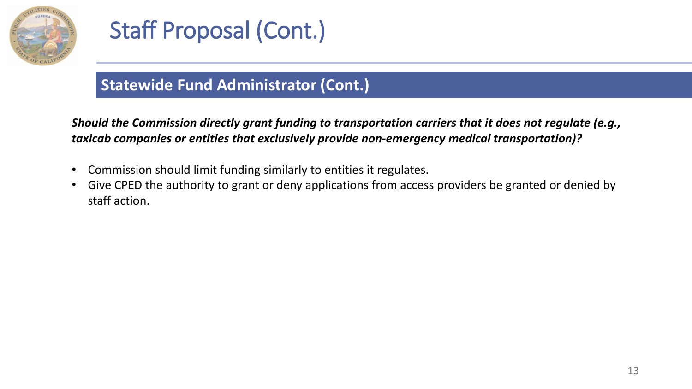

#### **Statewide Fund Administrator (Cont.)**

*Should the Commission directly grant funding to transportation carriers that it does not regulate (e.g., taxicab companies or entities that exclusively provide non-emergency medical transportation)?*

- Commission should limit funding similarly to entities it regulates.
- Give CPED the authority to grant or deny applications from access providers be granted or denied by staff action.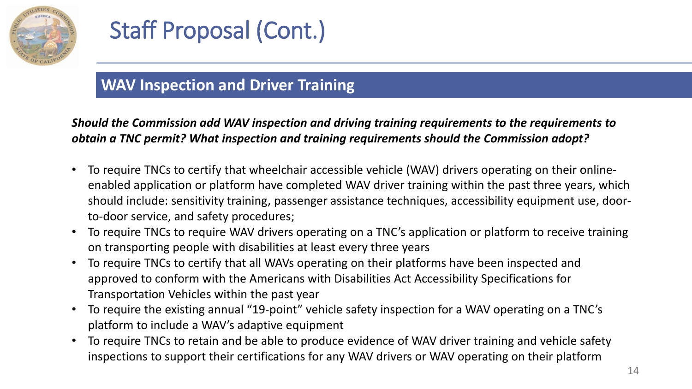

#### **WAV Inspection and Driver Training**

*Should the Commission add WAV inspection and driving training requirements to the requirements to obtain a TNC permit? What inspection and training requirements should the Commission adopt?*

- To require TNCs to certify that wheelchair accessible vehicle (WAV) drivers operating on their onlineenabled application or platform have completed WAV driver training within the past three years, which should include: sensitivity training, passenger assistance techniques, accessibility equipment use, doorto-door service, and safety procedures;
- To require TNCs to require WAV drivers operating on a TNC's application or platform to receive training on transporting people with disabilities at least every three years
- To require TNCs to certify that all WAVs operating on their platforms have been inspected and approved to conform with the Americans with Disabilities Act Accessibility Specifications for Transportation Vehicles within the past year
- To require the existing annual "19-point" vehicle safety inspection for a WAV operating on a TNC's platform to include a WAV's adaptive equipment
- To require TNCs to retain and be able to produce evidence of WAV driver training and vehicle safety inspections to support their certifications for any WAV drivers or WAV operating on their platform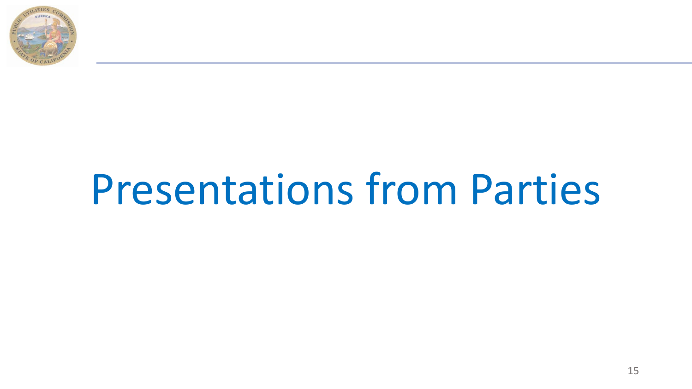

# Presentations from Parties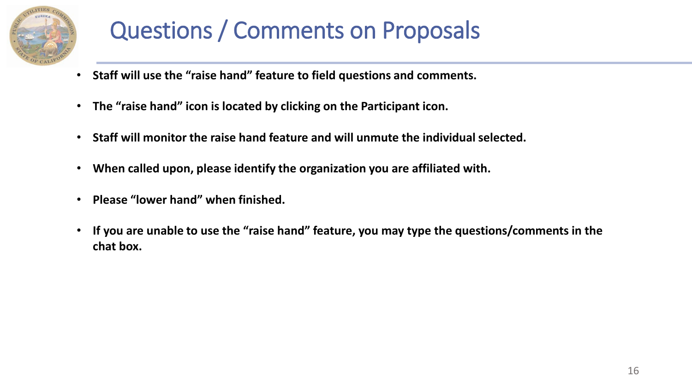

# Questions / Comments on Proposals

- **Staff will use the "raise hand" feature to field questions and comments.**
- **The "raise hand" icon is located by clicking on the Participant icon.**
- **Staff will monitor the raise hand feature and will unmute the individual selected.**
- **When called upon, please identify the organization you are affiliated with.**
- **Please "lower hand" when finished.**
- **If you are unable to use the "raise hand" feature, you may type the questions/comments in the chat box.**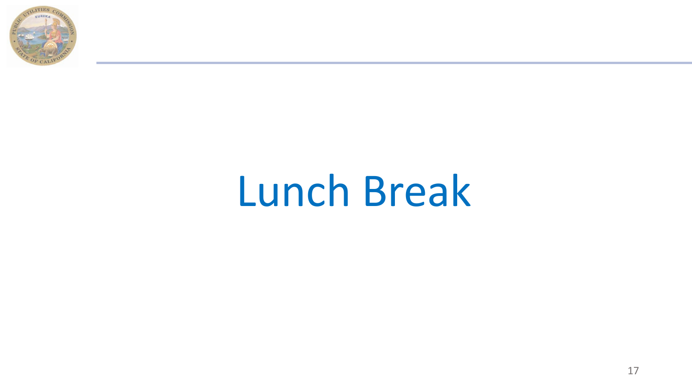

# Lunch Break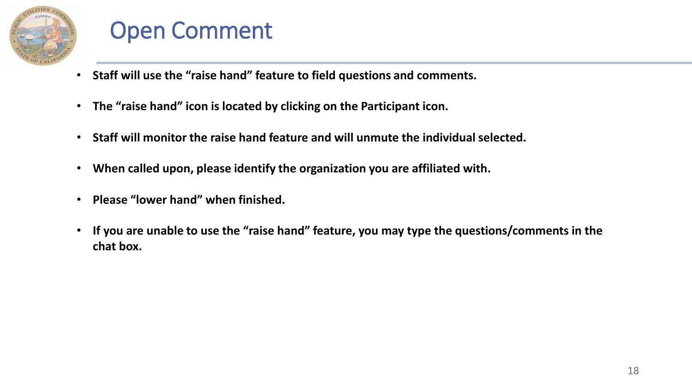

## Open Comment

- **Staff will use the "raise hand" feature to field questions and comments.**
- **The "raise hand" icon is located by clicking on the Participant icon.**
- **Staff will monitor the raise hand feature and will unmute the individual selected.**
- **When called upon, please identify the organization you are affiliated with.**
- **Please "lower hand" when finished.**
- **If you are unable to use the "raise hand" feature, you may type the questions/comments in the chat box.**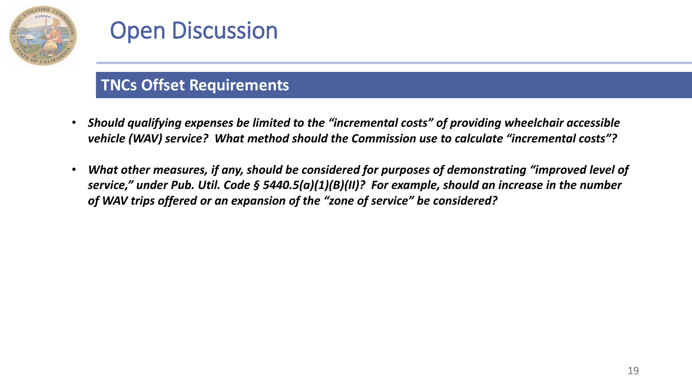

#### **TNCs Offset Requirements**

- *Should qualifying expenses be limited to the "incremental costs" of providing wheelchair accessible vehicle (WAV) service? What method should the Commission use to calculate "incremental costs"?*
- *What other measures, if any, should be considered for purposes of demonstrating "improved level of service," under Pub. Util. Code § 5440.5(a)(1)(B)(II)? For example, should an increase in the number of WAV trips offered or an expansion of the "zone of service" be considered?*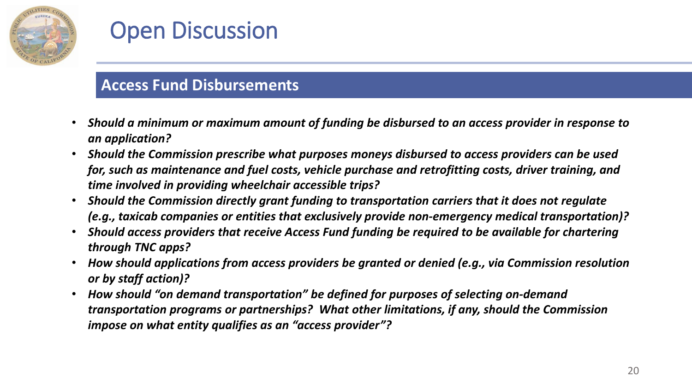

#### **Access Fund Disbursements**

- *Should a minimum or maximum amount of funding be disbursed to an access provider in response to an application?*
- *Should the Commission prescribe what purposes moneys disbursed to access providers can be used for, such as maintenance and fuel costs, vehicle purchase and retrofitting costs, driver training, and time involved in providing wheelchair accessible trips?*
- *Should the Commission directly grant funding to transportation carriers that it does not regulate (e.g., taxicab companies or entities that exclusively provide non-emergency medical transportation)?*
- *Should access providers that receive Access Fund funding be required to be available for chartering through TNC apps?*
- *How should applications from access providers be granted or denied (e.g., via Commission resolution or by staff action)?*
- *How should "on demand transportation" be defined for purposes of selecting on-demand transportation programs or partnerships? What other limitations, if any, should the Commission impose on what entity qualifies as an "access provider"?*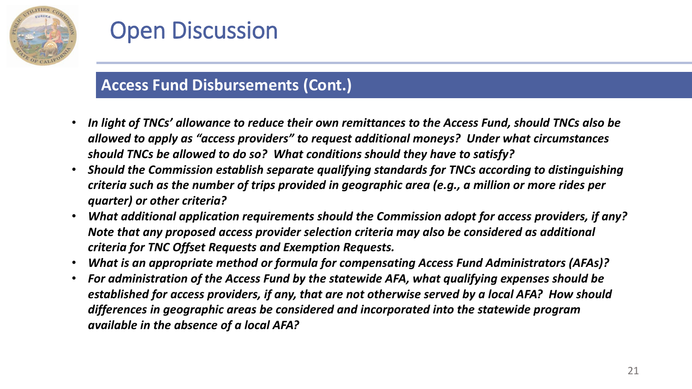

#### **Access Fund Disbursements (Cont.)**

- *In light of TNCs' allowance to reduce their own remittances to the Access Fund, should TNCs also be allowed to apply as "access providers" to request additional moneys? Under what circumstances should TNCs be allowed to do so? What conditions should they have to satisfy?*
- *Should the Commission establish separate qualifying standards for TNCs according to distinguishing criteria such as the number of trips provided in geographic area (e.g., a million or more rides per quarter) or other criteria?*
- *What additional application requirements should the Commission adopt for access providers, if any? Note that any proposed access provider selection criteria may also be considered as additional criteria for TNC Offset Requests and Exemption Requests.*
- *What is an appropriate method or formula for compensating Access Fund Administrators (AFAs)?*
- *For administration of the Access Fund by the statewide AFA, what qualifying expenses should be established for access providers, if any, that are not otherwise served by a local AFA? How should differences in geographic areas be considered and incorporated into the statewide program available in the absence of a local AFA?*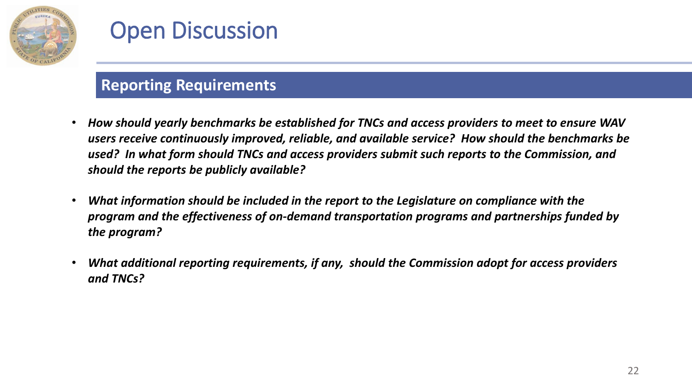

#### **Reporting Requirements**

- *How should yearly benchmarks be established for TNCs and access providers to meet to ensure WAV users receive continuously improved, reliable, and available service? How should the benchmarks be used? In what form should TNCs and access providers submit such reports to the Commission, and should the reports be publicly available?*
- *What information should be included in the report to the Legislature on compliance with the program and the effectiveness of on-demand transportation programs and partnerships funded by the program?*
- *What additional reporting requirements, if any, should the Commission adopt for access providers and TNCs?*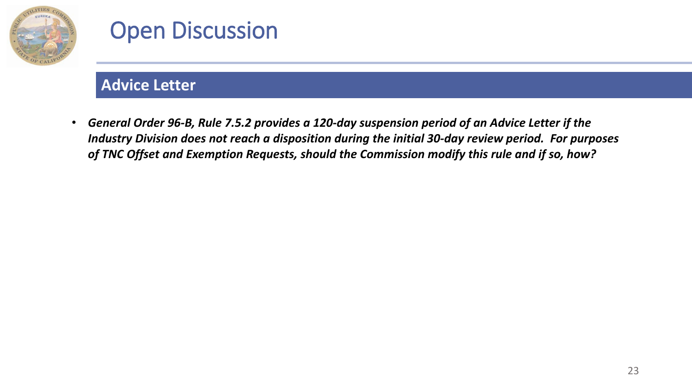

#### **Advice Letter**

• *General Order 96-B, Rule 7.5.2 provides a 120-day suspension period of an Advice Letter if the Industry Division does not reach a disposition during the initial 30-day review period. For purposes of TNC Offset and Exemption Requests, should the Commission modify this rule and if so, how?*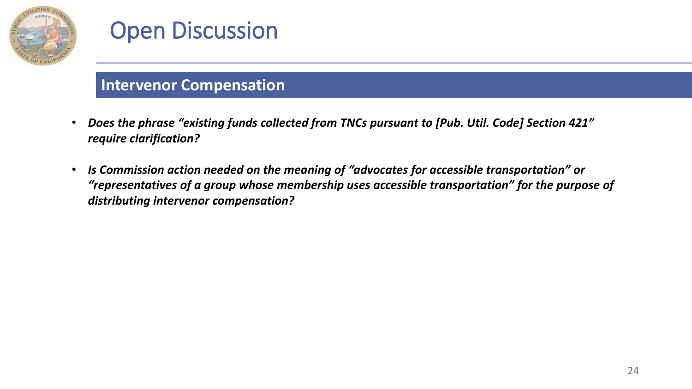

#### **Intervenor Compensation**

- *Does the phrase "existing funds collected from TNCs pursuant to [Pub. Util. Code] Section 421" require clarification?*
- *Is Commission action needed on the meaning of "advocates for accessible transportation" or "representatives of a group whose membership uses accessible transportation" for the purpose of distributing intervenor compensation?*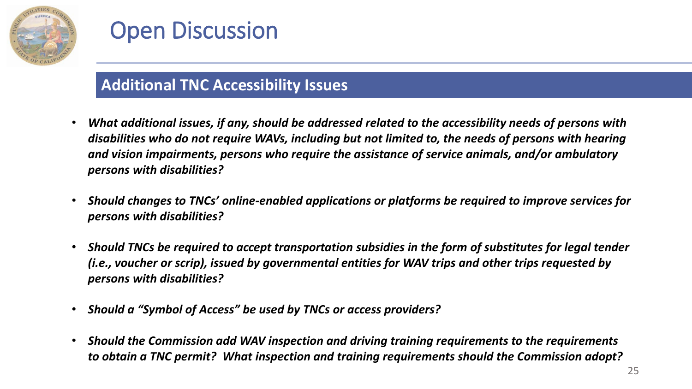

#### **Additional TNC Accessibility Issues**

- *What additional issues, if any, should be addressed related to the accessibility needs of persons with disabilities who do not require WAVs, including but not limited to, the needs of persons with hearing and vision impairments, persons who require the assistance of service animals, and/or ambulatory persons with disabilities?*
- *Should changes to TNCs' online-enabled applications or platforms be required to improve services for persons with disabilities?*
- *Should TNCs be required to accept transportation subsidies in the form of substitutes for legal tender (i.e., voucher or scrip), issued by governmental entities for WAV trips and other trips requested by persons with disabilities?*
- *Should a "Symbol of Access" be used by TNCs or access providers?*
- *Should the Commission add WAV inspection and driving training requirements to the requirements to obtain a TNC permit? What inspection and training requirements should the Commission adopt?*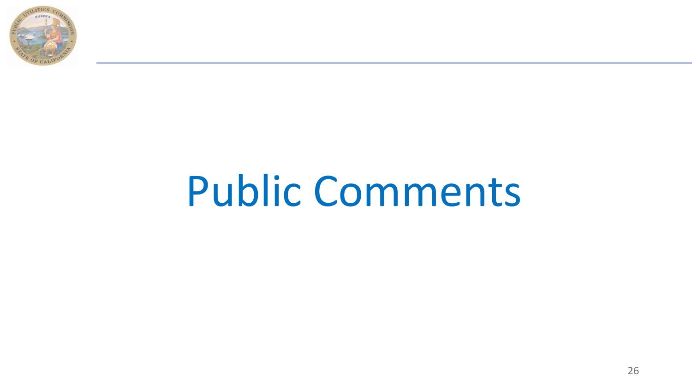

# Public Comments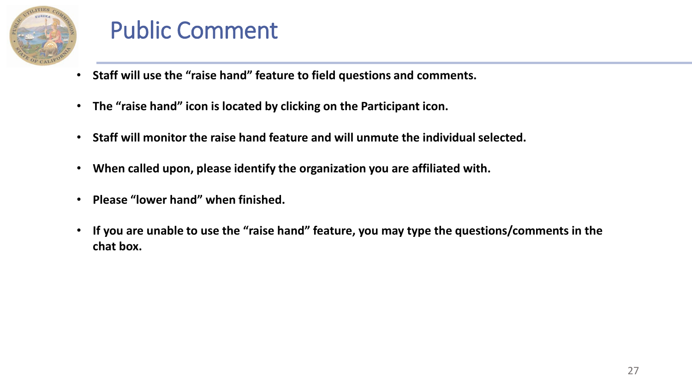

## Public Comment

- **Staff will use the "raise hand" feature to field questions and comments.**
- **The "raise hand" icon is located by clicking on the Participant icon.**
- **Staff will monitor the raise hand feature and will unmute the individual selected.**
- **When called upon, please identify the organization you are affiliated with.**
- **Please "lower hand" when finished.**
- **If you are unable to use the "raise hand" feature, you may type the questions/comments in the chat box.**